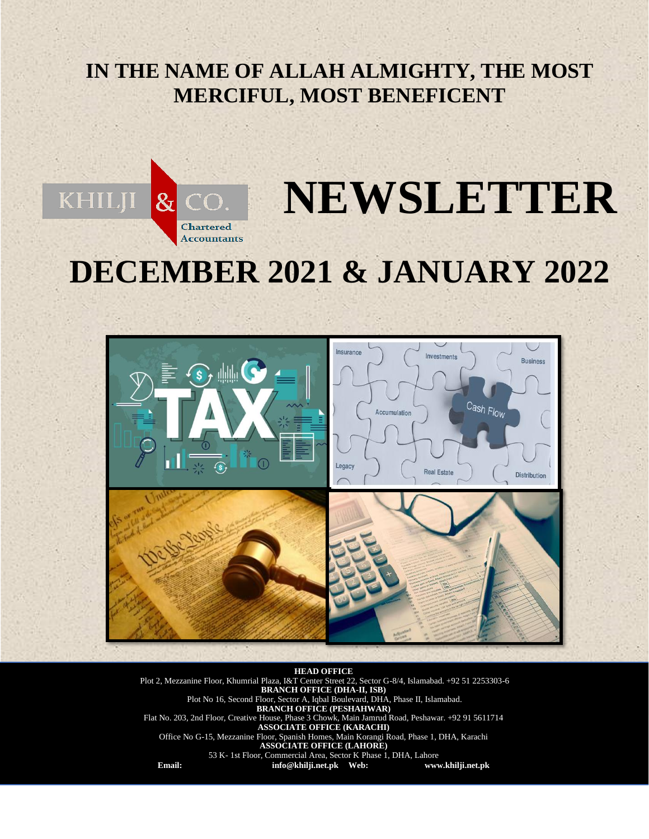# **IN THE NAME OF ALLAH ALMIGHTY, THE MOST MERCIFUL, MOST BENEFICENT**



# **DECEMBER 2021 & JANUARY 2022**



**HEAD OFFICE** Plot 2, Mezzanine Floor, Khumrial Plaza, I&T Center Street 22, Sector G-8/4, Islamabad. +92 51 2253303-6 **BRANCH OFFICE (DHA-II, ISB)** Plot No 16, Second Floor, Sector A, Iqbal Boulevard, DHA, Phase II, Islamabad. **BRANCH OFFICE (PESHAHWAR)** Flat No. 203, 2nd Floor, Creative House, Phase 3 Chowk, Main Jamrud Road, Peshawar. +92 91 5611714 **ASSOCIATE OFFICE (KARACHI)** Office No G-15, Mezzanine Floor, Spanish Homes, Main Korangi Road, Phase 1, DHA, Karachi **ASSOCIATE OFFICE (LAHORE)** 53 K- 1st Floor, Commercial Area, Sector K Phase 1, DHA, Lahore **Email: [info@khilji.net.pk](mailto:info@khilji.net.pk) Web: www.khilji.net.pk**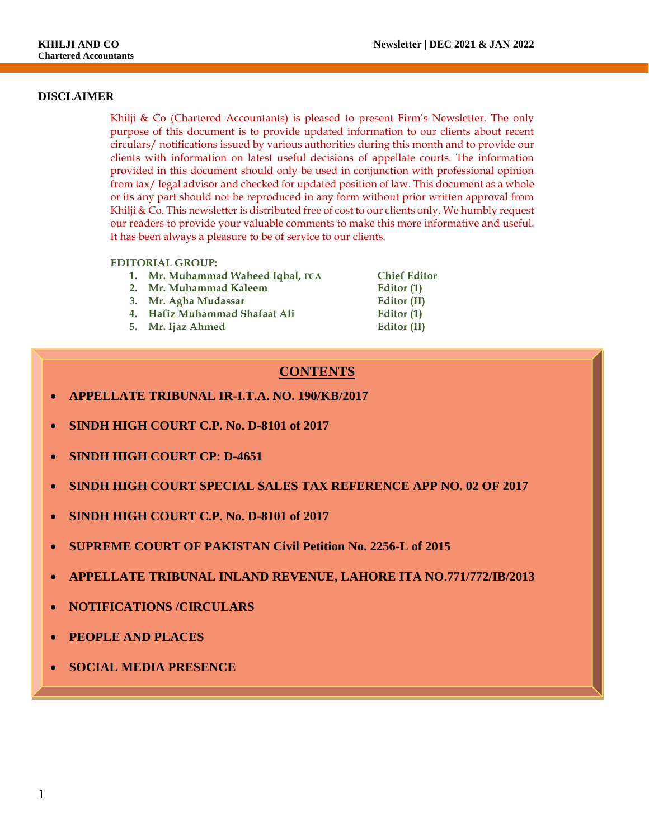#### **DISCLAIMER**

Khilji & Co (Chartered Accountants) is pleased to present Firm's Newsletter. The only purpose of this document is to provide updated information to our clients about recent circulars/ notifications issued by various authorities during this month and to provide our clients with information on latest useful decisions of appellate courts. The information provided in this document should only be used in conjunction with professional opinion from tax/ legal advisor and checked for updated position of law. This document as a whole or its any part should not be reproduced in any form without prior written approval from Khilji & Co. This newsletter is distributed free of cost to our clients only. We humbly request our readers to provide your valuable comments to make this more informative and useful. It has been always a pleasure to be of service to our clients.

#### **EDITORIAL GROUP:**

- **1. Mr. Muhammad Waheed Iqbal, FCA Chief Editor**
- **2. Mr. Muhammad Kaleem Editor (1)**
- **3. Mr. Agha Mudassar Editor (II)**
- **4. Hafiz Muhammad Shafaat Ali Editor (1)**
- **5. Mr. Ijaz Ahmed Editor (II)**

**8. In the system of the Charge circulation**  $\boldsymbol{C}$  **In Charge circulation 9. CONTENTS**

- **APPELLATE TRIBUNAL IR-I.T.A. NO. 190/KB/2017**
- **SINDH HIGH COURT C.P. No. D-8101 of 2017**
- **SINDH HIGH COURT CP: D-4651**
- **SINDH HIGH COURT SPECIAL SALES TAX REFERENCE APP NO. 02 OF 2017**
- **SINDH HIGH COURT C.P. No. D-8101 of 2017**
- **SUPREME COURT OF PAKISTAN Civil Petition No. 2256-L of 2015**
- **APPELLATE TRIBUNAL INLAND REVENUE, LAHORE ITA NO.771/772/IB/2013**
- **NOTIFICATIONS /CIRCULARS**
- **PEOPLE AND PLACES**
- **SOCIAL MEDIA PRESENCE**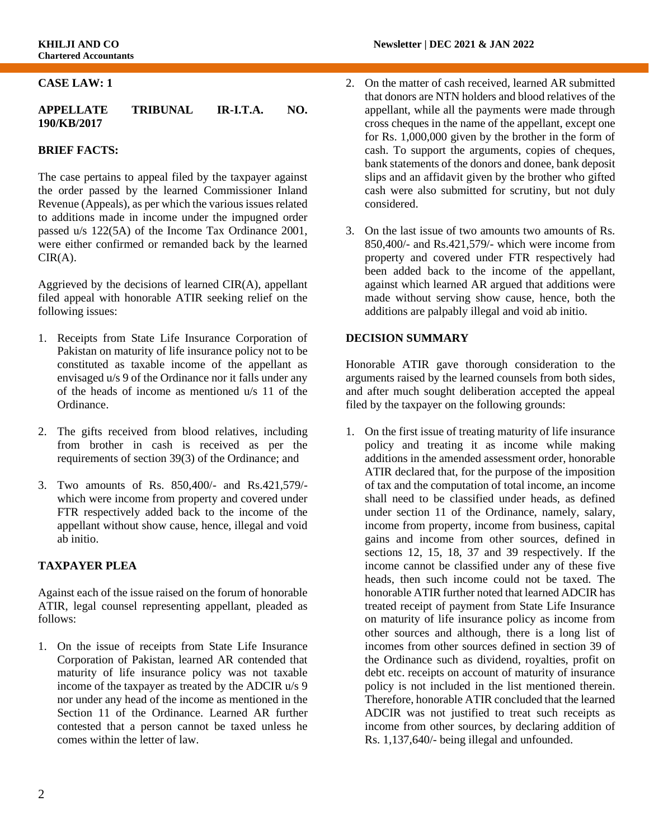#### **CASE LAW: 1**

#### **APPELLATE TRIBUNAL IR-I.T.A. NO. 190/KB/2017**

#### **BRIEF FACTS:**

The case pertains to appeal filed by the taxpayer against the order passed by the learned Commissioner Inland Revenue (Appeals), as per which the various issues related to additions made in income under the impugned order passed u/s 122(5A) of the Income Tax Ordinance 2001, were either confirmed or remanded back by the learned  $CIR(A)$ .

Aggrieved by the decisions of learned  $CIR(A)$ , appellant filed appeal with honorable ATIR seeking relief on the following issues:

- 1. Receipts from State Life Insurance Corporation of Pakistan on maturity of life insurance policy not to be constituted as taxable income of the appellant as envisaged u/s 9 of the Ordinance nor it falls under any of the heads of income as mentioned u/s 11 of the Ordinance.
- 2. The gifts received from blood relatives, including from brother in cash is received as per the requirements of section 39(3) of the Ordinance; and
- 3. Two amounts of Rs. 850,400/- and Rs.421,579/ which were income from property and covered under FTR respectively added back to the income of the appellant without show cause, hence, illegal and void ab initio.

#### **TAXPAYER PLEA**

Against each of the issue raised on the forum of honorable ATIR, legal counsel representing appellant, pleaded as follows:

1. On the issue of receipts from State Life Insurance Corporation of Pakistan, learned AR contended that maturity of life insurance policy was not taxable income of the taxpayer as treated by the ADCIR u/s 9 nor under any head of the income as mentioned in the Section 11 of the Ordinance. Learned AR further contested that a person cannot be taxed unless he comes within the letter of law.

- 2. On the matter of cash received, learned AR submitted that donors are NTN holders and blood relatives of the appellant, while all the payments were made through cross cheques in the name of the appellant, except one for Rs. 1,000,000 given by the brother in the form of cash. To support the arguments, copies of cheques, bank statements of the donors and donee, bank deposit slips and an affidavit given by the brother who gifted cash were also submitted for scrutiny, but not duly considered.
- 3. On the last issue of two amounts two amounts of Rs. 850,400/- and Rs.421,579/- which were income from property and covered under FTR respectively had been added back to the income of the appellant, against which learned AR argued that additions were made without serving show cause, hence, both the additions are palpably illegal and void ab initio.

#### **DECISION SUMMARY**

Honorable ATIR gave thorough consideration to the arguments raised by the learned counsels from both sides, and after much sought deliberation accepted the appeal filed by the taxpayer on the following grounds:

1. On the first issue of treating maturity of life insurance policy and treating it as income while making additions in the amended assessment order, honorable ATIR declared that, for the purpose of the imposition of tax and the computation of total income, an income shall need to be classified under heads, as defined under section 11 of the Ordinance, namely, salary, income from property, income from business, capital gains and income from other sources, defined in sections 12, 15, 18, 37 and 39 respectively. If the income cannot be classified under any of these five heads, then such income could not be taxed. The honorable ATIR further noted that learned ADCIR has treated receipt of payment from State Life Insurance on maturity of life insurance policy as income from other sources and although, there is a long list of incomes from other sources defined in section 39 of the Ordinance such as dividend, royalties, profit on debt etc. receipts on account of maturity of insurance policy is not included in the list mentioned therein. Therefore, honorable ATIR concluded that the learned ADCIR was not justified to treat such receipts as income from other sources, by declaring addition of Rs. 1,137,640/- being illegal and unfounded.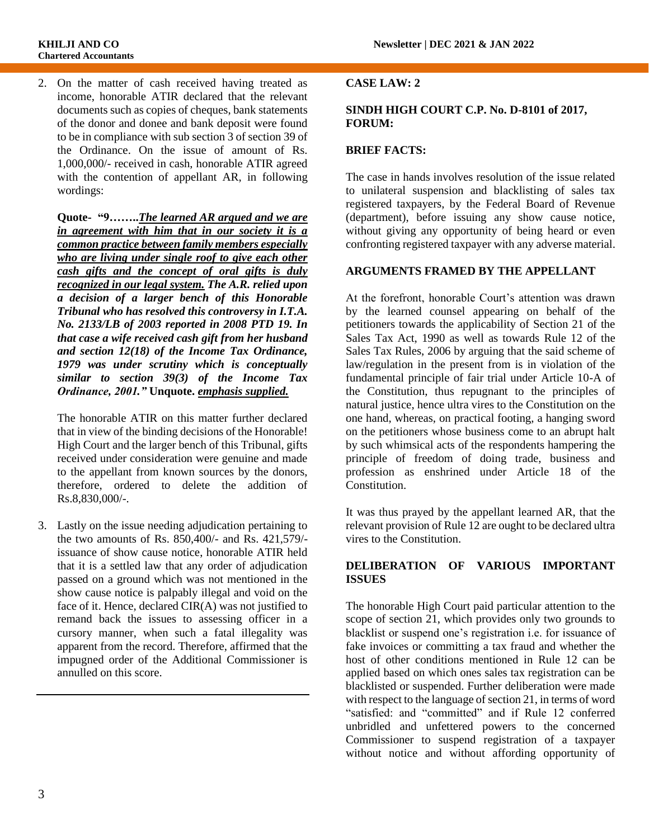2. On the matter of cash received having treated as income, honorable ATIR declared that the relevant documents such as copies of cheques, bank statements of the donor and donee and bank deposit were found to be in compliance with sub section 3 of section 39 of the Ordinance. On the issue of amount of Rs. 1,000,000/- received in cash, honorable ATIR agreed with the contention of appellant AR, in following wordings:

**Quote- "9……..***The learned AR argued and we are in agreement with him that in our society it is a common practice between family members especially who are living under single roof to give each other cash gifts and the concept of oral gifts is duly recognized in our legal system. The A.R. relied upon a decision of a larger bench of this Honorable Tribunal who has resolved this controversy in I.T.A. No. 2133/LB of 2003 reported in 2008 PTD 19. In that case a wife received cash gift from her husband and section 12(18) of the Income Tax Ordinance, 1979 was under scrutiny which is conceptually similar to section 39(3) of the Income Tax Ordinance, 2001."* **Unquote.** *emphasis supplied.*

The honorable ATIR on this matter further declared that in view of the binding decisions of the Honorable! High Court and the larger bench of this Tribunal, gifts received under consideration were genuine and made to the appellant from known sources by the donors, therefore, ordered to delete the addition of Rs.8,830,000/-.

3. Lastly on the issue needing adjudication pertaining to the two amounts of Rs. 850,400/- and Rs. 421,579/ issuance of show cause notice, honorable ATIR held that it is a settled law that any order of adjudication passed on a ground which was not mentioned in the show cause notice is palpably illegal and void on the face of it. Hence, declared CIR(A) was not justified to remand back the issues to assessing officer in a cursory manner, when such a fatal illegality was apparent from the record. Therefore, affirmed that the impugned order of the Additional Commissioner is annulled on this score.

#### **CASE LAW: 2**

#### **SINDH HIGH COURT C.P. No. D-8101 of 2017, FORUM:**

#### **BRIEF FACTS:**

The case in hands involves resolution of the issue related to unilateral suspension and blacklisting of sales tax registered taxpayers, by the Federal Board of Revenue (department), before issuing any show cause notice, without giving any opportunity of being heard or even confronting registered taxpayer with any adverse material.

#### **ARGUMENTS FRAMED BY THE APPELLANT**

At the forefront, honorable Court's attention was drawn by the learned counsel appearing on behalf of the petitioners towards the applicability of Section 21 of the Sales Tax Act, 1990 as well as towards Rule 12 of the Sales Tax Rules, 2006 by arguing that the said scheme of law/regulation in the present from is in violation of the fundamental principle of fair trial under Article 10-A of the Constitution, thus repugnant to the principles of natural justice, hence ultra vires to the Constitution on the one hand, whereas, on practical footing, a hanging sword on the petitioners whose business come to an abrupt halt by such whimsical acts of the respondents hampering the principle of freedom of doing trade, business and profession as enshrined under Article 18 of the Constitution.

It was thus prayed by the appellant learned AR, that the relevant provision of Rule 12 are ought to be declared ultra vires to the Constitution.

#### **DELIBERATION OF VARIOUS IMPORTANT ISSUES**

The honorable High Court paid particular attention to the scope of section 21, which provides only two grounds to blacklist or suspend one's registration i.e. for issuance of fake invoices or committing a tax fraud and whether the host of other conditions mentioned in Rule 12 can be applied based on which ones sales tax registration can be blacklisted or suspended. Further deliberation were made with respect to the language of section 21, in terms of word "satisfied: and "committed" and if Rule 12 conferred unbridled and unfettered powers to the concerned Commissioner to suspend registration of a taxpayer without notice and without affording opportunity of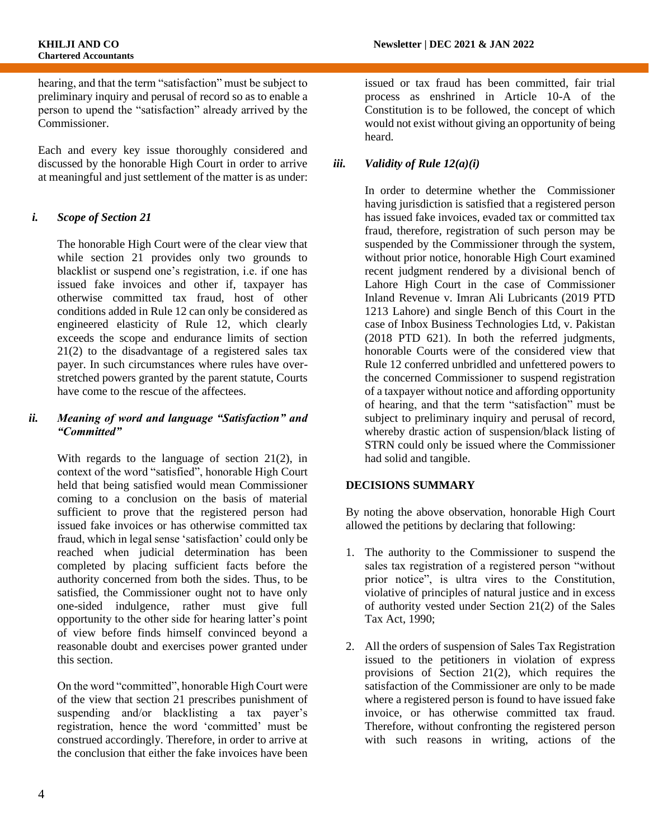hearing, and that the term "satisfaction" must be subject to preliminary inquiry and perusal of record so as to enable a person to upend the "satisfaction" already arrived by the Commissioner.

Each and every key issue thoroughly considered and discussed by the honorable High Court in order to arrive at meaningful and just settlement of the matter is as under:

#### *i. Scope of Section 21*

The honorable High Court were of the clear view that while section 21 provides only two grounds to blacklist or suspend one's registration, i.e. if one has issued fake invoices and other if, taxpayer has otherwise committed tax fraud, host of other conditions added in Rule 12 can only be considered as engineered elasticity of Rule 12, which clearly exceeds the scope and endurance limits of section 21(2) to the disadvantage of a registered sales tax payer. In such circumstances where rules have overstretched powers granted by the parent statute, Courts have come to the rescue of the affectees.

#### *ii. Meaning of word and language "Satisfaction" and "Committed"*

With regards to the language of section 21(2), in context of the word "satisfied", honorable High Court held that being satisfied would mean Commissioner coming to a conclusion on the basis of material sufficient to prove that the registered person had issued fake invoices or has otherwise committed tax fraud, which in legal sense 'satisfaction' could only be reached when judicial determination has been completed by placing sufficient facts before the authority concerned from both the sides. Thus, to be satisfied, the Commissioner ought not to have only one-sided indulgence, rather must give full opportunity to the other side for hearing latter's point of view before finds himself convinced beyond a reasonable doubt and exercises power granted under this section.

On the word "committed", honorable High Court were of the view that section 21 prescribes punishment of suspending and/or blacklisting a tax payer's registration, hence the word 'committed' must be construed accordingly. Therefore, in order to arrive at the conclusion that either the fake invoices have been

issued or tax fraud has been committed, fair trial process as enshrined in Article 10-A of the Constitution is to be followed, the concept of which would not exist without giving an opportunity of being heard.

#### *iii. Validity of Rule 12(a)(i)*

In order to determine whether the Commissioner having jurisdiction is satisfied that a registered person has issued fake invoices, evaded tax or committed tax fraud, therefore, registration of such person may be suspended by the Commissioner through the system, without prior notice, honorable High Court examined recent judgment rendered by a divisional bench of Lahore High Court in the case of Commissioner Inland Revenue v. Imran Ali Lubricants (2019 PTD 1213 Lahore) and single Bench of this Court in the case of Inbox Business Technologies Ltd, v. Pakistan (2018 PTD 621). In both the referred judgments, honorable Courts were of the considered view that Rule 12 conferred unbridled and unfettered powers to the concerned Commissioner to suspend registration of a taxpayer without notice and affording opportunity of hearing, and that the term "satisfaction" must be subject to preliminary inquiry and perusal of record, whereby drastic action of suspension/black listing of STRN could only be issued where the Commissioner had solid and tangible.

#### **DECISIONS SUMMARY**

By noting the above observation, honorable High Court allowed the petitions by declaring that following:

- 1. The authority to the Commissioner to suspend the sales tax registration of a registered person "without prior notice", is ultra vires to the Constitution, violative of principles of natural justice and in excess of authority vested under Section 21(2) of the Sales Tax Act, 1990;
- 2. All the orders of suspension of Sales Tax Registration issued to the petitioners in violation of express provisions of Section 21(2), which requires the satisfaction of the Commissioner are only to be made where a registered person is found to have issued fake invoice, or has otherwise committed tax fraud. Therefore, without confronting the registered person with such reasons in writing, actions of the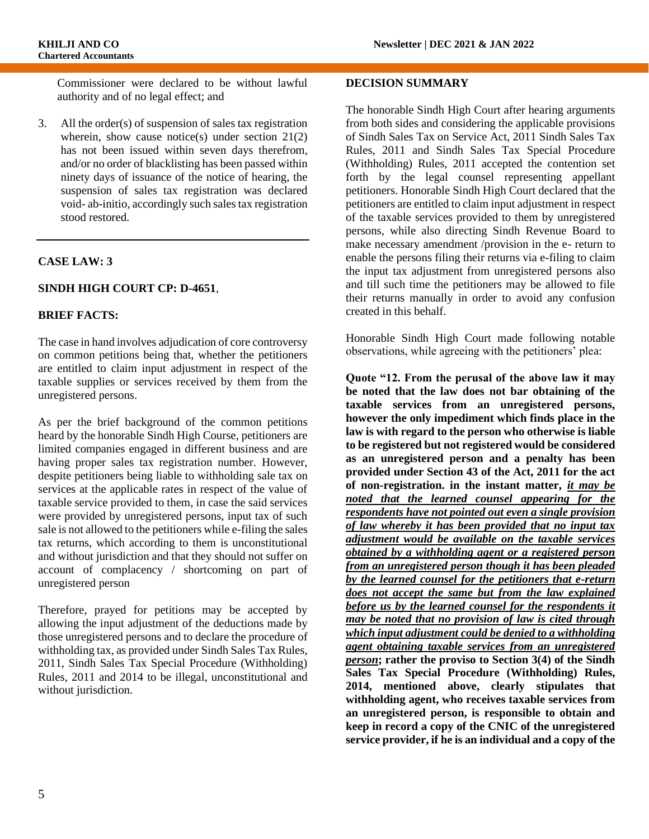Commissioner were declared to be without lawful authority and of no legal effect; and

3. All the order(s) of suspension of sales tax registration wherein, show cause notice(s) under section  $21(2)$ has not been issued within seven days therefrom, and/or no order of blacklisting has been passed within ninety days of issuance of the notice of hearing, the suspension of sales tax registration was declared void- ab-initio, accordingly such sales tax registration stood restored.

#### **CASE LAW: 3**

#### **SINDH HIGH COURT CP: D-4651**,

#### **BRIEF FACTS:**

The case in hand involves adjudication of core controversy on common petitions being that, whether the petitioners are entitled to claim input adjustment in respect of the taxable supplies or services received by them from the unregistered persons.

As per the brief background of the common petitions heard by the honorable Sindh High Course, petitioners are limited companies engaged in different business and are having proper sales tax registration number. However, despite petitioners being liable to withholding sale tax on services at the applicable rates in respect of the value of taxable service provided to them, in case the said services were provided by unregistered persons, input tax of such sale is not allowed to the petitioners while e-filing the sales tax returns, which according to them is unconstitutional and without jurisdiction and that they should not suffer on account of complacency / shortcoming on part of unregistered person

Therefore, prayed for petitions may be accepted by allowing the input adjustment of the deductions made by those unregistered persons and to declare the procedure of withholding tax, as provided under Sindh Sales Tax Rules, 2011, Sindh Sales Tax Special Procedure (Withholding) Rules, 2011 and 2014 to be illegal, unconstitutional and without jurisdiction.

#### **DECISION SUMMARY**

The honorable Sindh High Court after hearing arguments from both sides and considering the applicable provisions of Sindh Sales Tax on Service Act, 2011 Sindh Sales Tax Rules, 2011 and Sindh Sales Tax Special Procedure (Withholding) Rules, 2011 accepted the contention set forth by the legal counsel representing appellant petitioners. Honorable Sindh High Court declared that the petitioners are entitled to claim input adjustment in respect of the taxable services provided to them by unregistered persons, while also directing Sindh Revenue Board to make necessary amendment /provision in the e- return to enable the persons filing their returns via e-filing to claim the input tax adjustment from unregistered persons also and till such time the petitioners may be allowed to file their returns manually in order to avoid any confusion created in this behalf.

Honorable Sindh High Court made following notable observations, while agreeing with the petitioners' plea:

**Quote "12. From the perusal of the above law it may be noted that the law does not bar obtaining of the taxable services from an unregistered persons, however the only impediment which finds place in the law is with regard to the person who otherwise is liable to be registered but not registered would be considered as an unregistered person and a penalty has been provided under Section 43 of the Act, 2011 for the act of non-registration. in the instant matter,** *it may be noted that the learned counsel appearing for the respondents have not pointed out even a single provision of law whereby it has been provided that no input tax adjustment would be available on the taxable services obtained by a withholding agent or a registered person from an unregistered person though it has been pleaded by the learned counsel for the petitioners that e-return does not accept the same but from the law explained before us by the learned counsel for the respondents it may be noted that no provision of law is cited through which input adjustment could be denied to a withholding agent obtaining taxable services from an unregistered person***; rather the proviso to Section 3(4) of the Sindh Sales Tax Special Procedure (Withholding) Rules, 2014, mentioned above, clearly stipulates that withholding agent, who receives taxable services from an unregistered person, is responsible to obtain and keep in record a copy of the CNIC of the unregistered service provider, if he is an individual and a copy of the**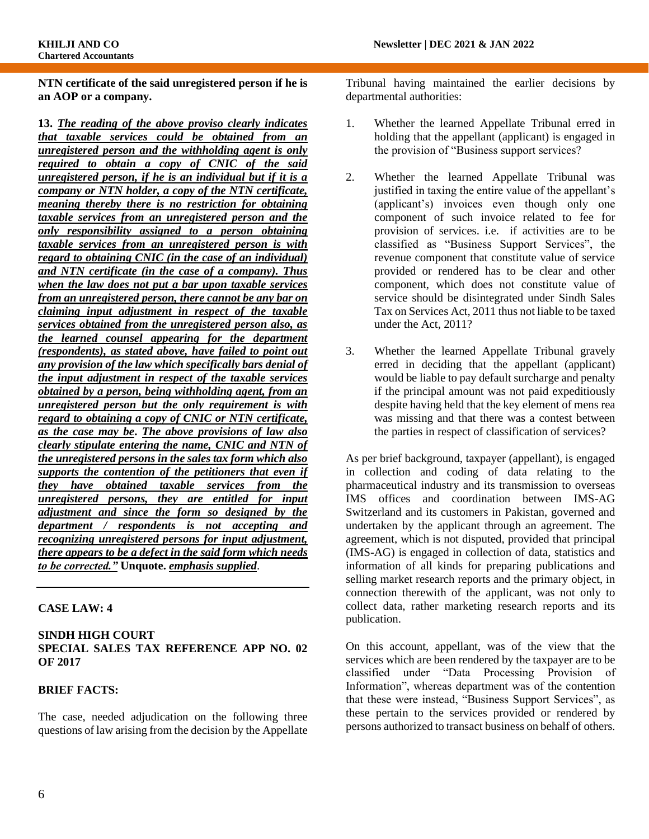**NTN certificate of the said unregistered person if he is an AOP or a company.** 

**13.** *The reading of the above proviso clearly indicates that taxable services could be obtained from an unregistered person and the withholding agent is only required to obtain a copy of CNIC of the said unregistered person, if he is an individual but if it is a company or NTN holder, a copy of the NTN certificate, meaning thereby there is no restriction for obtaining taxable services from an unregistered person and the only responsibility assigned to a person obtaining taxable services from an unregistered person is with regard to obtaining CNIC (in the case of an individual) and NTN certificate (in the case of a company). Thus when the law does not put a bar upon taxable services from an unregistered person, there cannot be any bar on claiming input adjustment in respect of the taxable services obtained from the unregistered person also, as the learned counsel appearing for the department (respondents), as stated above, have failed to point out any provision of the law which specifically bars denial of the input adjustment in respect of the taxable services obtained by a person, being withholding agent, from an unregistered person but the only requirement is with regard to obtaining a copy of CNIC or NTN certificate, as the case may be***.** *The above provisions of law also clearly stipulate entering the name, CNIC and NTN of the unregistered persons in the sales tax form which also supports the contention of the petitioners that even if they have obtained taxable services from the unregistered persons, they are entitled for input adjustment and since the form so designed by the department / respondents is not accepting and recognizing unregistered persons for input adjustment, there appears to be a defect in the said form which needs to be corrected."* **Unquote.** *emphasis supplied*.

### **CASE LAW: 4**

#### **SINDH HIGH COURT SPECIAL SALES TAX REFERENCE APP NO. 02 OF 2017**

#### **BRIEF FACTS:**

The case, needed adjudication on the following three questions of law arising from the decision by the Appellate

Tribunal having maintained the earlier decisions by departmental authorities:

- 1. Whether the learned Appellate Tribunal erred in holding that the appellant (applicant) is engaged in the provision of "Business support services?
- 2. Whether the learned Appellate Tribunal was justified in taxing the entire value of the appellant's (applicant's) invoices even though only one component of such invoice related to fee for provision of services. i.e. if activities are to be classified as "Business Support Services", the revenue component that constitute value of service provided or rendered has to be clear and other component, which does not constitute value of service should be disintegrated under Sindh Sales Tax on Services Act, 2011 thus not liable to be taxed under the Act, 2011?
- 3. Whether the learned Appellate Tribunal gravely erred in deciding that the appellant (applicant) would be liable to pay default surcharge and penalty if the principal amount was not paid expeditiously despite having held that the key element of mens rea was missing and that there was a contest between the parties in respect of classification of services?

As per brief background, taxpayer (appellant), is engaged in collection and coding of data relating to the pharmaceutical industry and its transmission to overseas IMS offices and coordination between IMS-AG Switzerland and its customers in Pakistan, governed and undertaken by the applicant through an agreement. The agreement, which is not disputed, provided that principal (IMS-AG) is engaged in collection of data, statistics and information of all kinds for preparing publications and selling market research reports and the primary object, in connection therewith of the applicant, was not only to collect data, rather marketing research reports and its publication.

On this account, appellant, was of the view that the services which are been rendered by the taxpayer are to be classified under "Data Processing Provision of Information", whereas department was of the contention that these were instead, "Business Support Services", as these pertain to the services provided or rendered by persons authorized to transact business on behalf of others.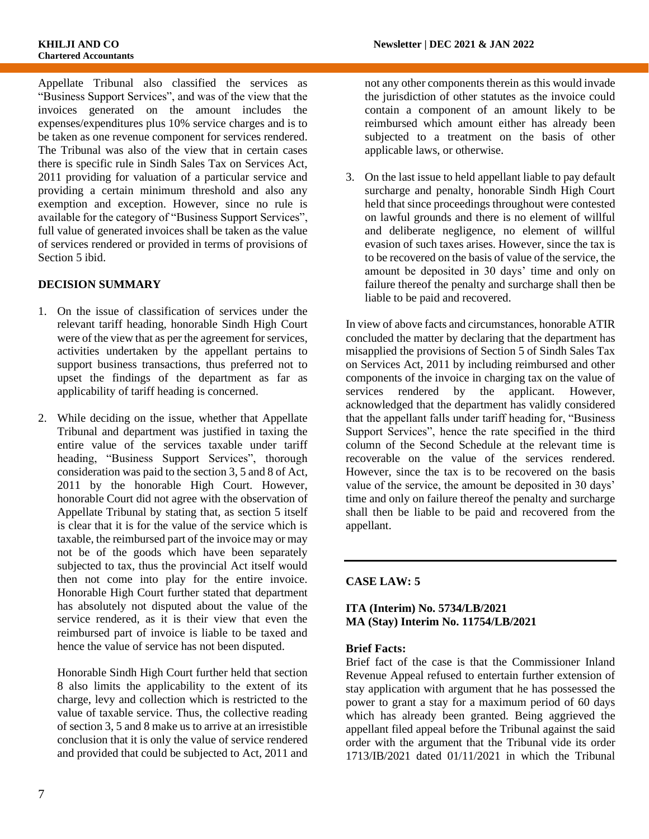Appellate Tribunal also classified the services as "Business Support Services", and was of the view that the invoices generated on the amount includes the expenses/expenditures plus 10% service charges and is to be taken as one revenue component for services rendered. The Tribunal was also of the view that in certain cases there is specific rule in Sindh Sales Tax on Services Act, 2011 providing for valuation of a particular service and providing a certain minimum threshold and also any exemption and exception. However, since no rule is available for the category of "Business Support Services", full value of generated invoices shall be taken as the value of services rendered or provided in terms of provisions of Section 5 ibid.

#### **DECISION SUMMARY**

- 1. On the issue of classification of services under the relevant tariff heading, honorable Sindh High Court were of the view that as per the agreement for services, activities undertaken by the appellant pertains to support business transactions, thus preferred not to upset the findings of the department as far as applicability of tariff heading is concerned.
- 2. While deciding on the issue, whether that Appellate Tribunal and department was justified in taxing the entire value of the services taxable under tariff heading, "Business Support Services", thorough consideration was paid to the section 3, 5 and 8 of Act, 2011 by the honorable High Court. However, honorable Court did not agree with the observation of Appellate Tribunal by stating that, as section 5 itself is clear that it is for the value of the service which is taxable, the reimbursed part of the invoice may or may not be of the goods which have been separately subjected to tax, thus the provincial Act itself would then not come into play for the entire invoice. Honorable High Court further stated that department has absolutely not disputed about the value of the service rendered, as it is their view that even the reimbursed part of invoice is liable to be taxed and hence the value of service has not been disputed.

Honorable Sindh High Court further held that section 8 also limits the applicability to the extent of its charge, levy and collection which is restricted to the value of taxable service. Thus, the collective reading of section 3, 5 and 8 make us to arrive at an irresistible conclusion that it is only the value of service rendered and provided that could be subjected to Act, 2011 and

not any other components therein as this would invade the jurisdiction of other statutes as the invoice could contain a component of an amount likely to be reimbursed which amount either has already been subjected to a treatment on the basis of other applicable laws, or otherwise.

3. On the last issue to held appellant liable to pay default surcharge and penalty, honorable Sindh High Court held that since proceedings throughout were contested on lawful grounds and there is no element of willful and deliberate negligence, no element of willful evasion of such taxes arises. However, since the tax is to be recovered on the basis of value of the service, the amount be deposited in 30 days' time and only on failure thereof the penalty and surcharge shall then be liable to be paid and recovered.

In view of above facts and circumstances, honorable ATIR concluded the matter by declaring that the department has misapplied the provisions of Section 5 of Sindh Sales Tax on Services Act, 2011 by including reimbursed and other components of the invoice in charging tax on the value of services rendered by the applicant. However, acknowledged that the department has validly considered that the appellant falls under tariff heading for, "Business Support Services", hence the rate specified in the third column of the Second Schedule at the relevant time is recoverable on the value of the services rendered. However, since the tax is to be recovered on the basis value of the service, the amount be deposited in 30 days' time and only on failure thereof the penalty and surcharge shall then be liable to be paid and recovered from the appellant.

#### **CASE LAW: 5**

#### **ITA (Interim) No. 5734/LB/2021 MA (Stay) Interim No. 11754/LB/2021**

#### **Brief Facts:**

Brief fact of the case is that the Commissioner Inland Revenue Appeal refused to entertain further extension of stay application with argument that he has possessed the power to grant a stay for a maximum period of 60 days which has already been granted. Being aggrieved the appellant filed appeal before the Tribunal against the said order with the argument that the Tribunal vide its order 1713/IB/2021 dated 01/11/2021 in which the Tribunal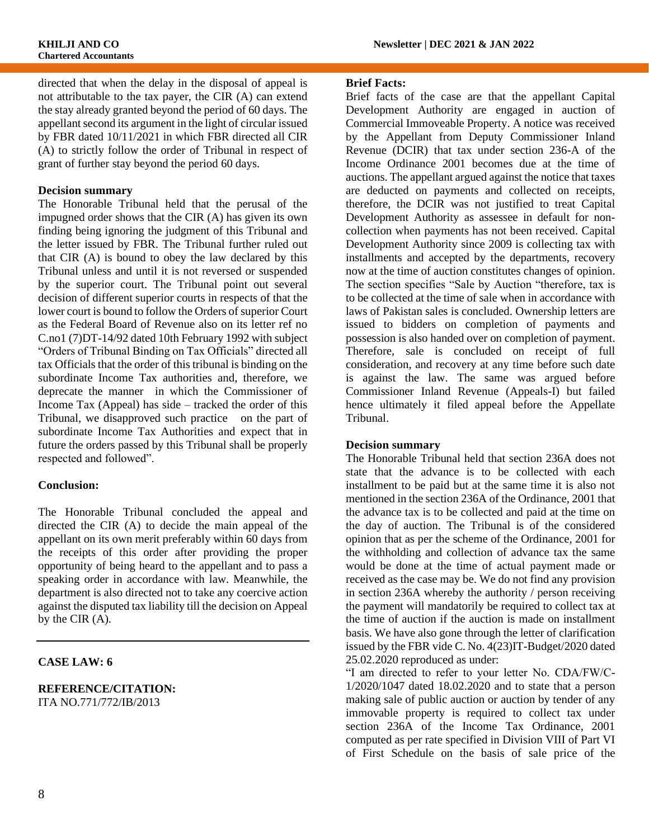directed that when the delay in the disposal of appeal is not attributable to the tax payer, the CIR (A) can extend the stay already granted beyond the period of 60 days. The appellant second its argument in the light of circular issued by FBR dated 10/11/2021 in which FBR directed all CIR (A) to strictly follow the order of Tribunal in respect of grant of further stay beyond the period 60 days.

#### **Decision summary**

The Honorable Tribunal held that the perusal of the impugned order shows that the CIR (A) has given its own finding being ignoring the judgment of this Tribunal and the letter issued by FBR. The Tribunal further ruled out that CIR (A) is bound to obey the law declared by this Tribunal unless and until it is not reversed or suspended by the superior court. The Tribunal point out several decision of different superior courts in respects of that the lower court is bound to follow the Orders of superior Court as the Federal Board of Revenue also on its letter ref no C.no1 (7)DT-14/92 dated 10th February 1992 with subject "Orders of Tribunal Binding on Tax Officials" directed all tax Officials that the order of this tribunal is binding on the subordinate Income Tax authorities and, therefore, we deprecate the manner in which the Commissioner of Income Tax (Appeal) has side – tracked the order of this Tribunal, we disapproved such practice on the part of subordinate Income Tax Authorities and expect that in future the orders passed by this Tribunal shall be properly respected and followed".

#### **Conclusion:**

The Honorable Tribunal concluded the appeal and directed the CIR (A) to decide the main appeal of the appellant on its own merit preferably within 60 days from the receipts of this order after providing the proper opportunity of being heard to the appellant and to pass a speaking order in accordance with law. Meanwhile, the department is also directed not to take any coercive action against the disputed tax liability till the decision on Appeal by the CIR (A).

#### **CASE LAW: 6**

#### **REFERENCE/CITATION:** ITA NO.771/772/IB/2013

#### **Brief Facts:**

Brief facts of the case are that the appellant Capital Development Authority are engaged in auction of Commercial Immoveable Property. A notice was received by the Appellant from Deputy Commissioner Inland Revenue (DCIR) that tax under section 236-A of the Income Ordinance 2001 becomes due at the time of auctions. The appellant argued against the notice that taxes are deducted on payments and collected on receipts, therefore, the DCIR was not justified to treat Capital Development Authority as assessee in default for noncollection when payments has not been received. Capital Development Authority since 2009 is collecting tax with installments and accepted by the departments, recovery now at the time of auction constitutes changes of opinion. The section specifies "Sale by Auction "therefore, tax is to be collected at the time of sale when in accordance with laws of Pakistan sales is concluded. Ownership letters are issued to bidders on completion of payments and possession is also handed over on completion of payment. Therefore, sale is concluded on receipt of full consideration, and recovery at any time before such date is against the law. The same was argued before Commissioner Inland Revenue (Appeals-I) but failed hence ultimately it filed appeal before the Appellate Tribunal.

#### **Decision summary**

The Honorable Tribunal held that section 236A does not state that the advance is to be collected with each installment to be paid but at the same time it is also not mentioned in the section 236A of the Ordinance, 2001 that the advance tax is to be collected and paid at the time on the day of auction. The Tribunal is of the considered opinion that as per the scheme of the Ordinance, 2001 for the withholding and collection of advance tax the same would be done at the time of actual payment made or received as the case may be. We do not find any provision in section 236A whereby the authority / person receiving the payment will mandatorily be required to collect tax at the time of auction if the auction is made on installment basis. We have also gone through the letter of clarification issued by the FBR vide C. No. 4(23)IT-Budget/2020 dated 25.02.2020 reproduced as under:

"I am directed to refer to your letter No. CDA/FW/C-1/2020/1047 dated 18.02.2020 and to state that a person making sale of public auction or auction by tender of any immovable property is required to collect tax under section 236A of the Income Tax Ordinance, 2001 computed as per rate specified in Division VIII of Part VI of First Schedule on the basis of sale price of the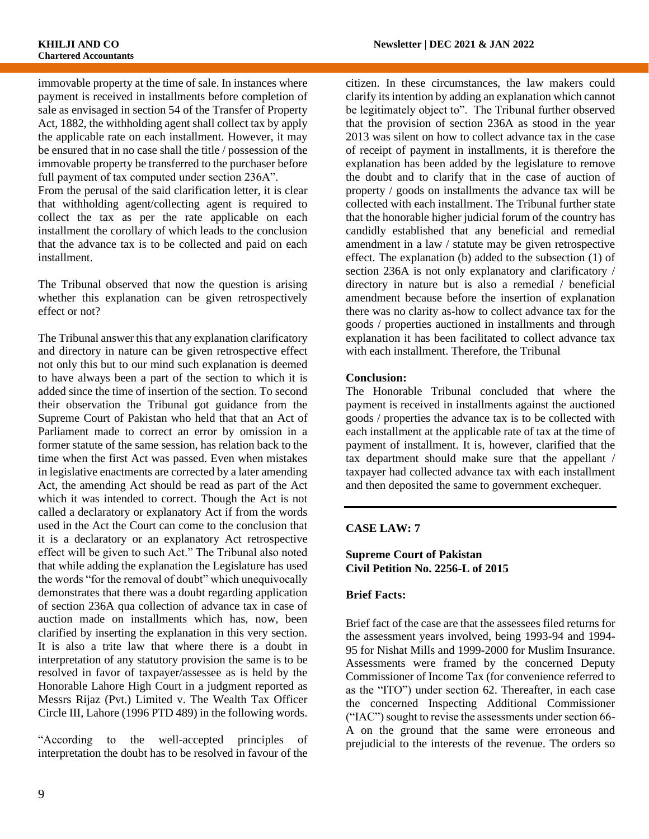immovable property at the time of sale. In instances where payment is received in installments before completion of sale as envisaged in section 54 of the Transfer of Property Act, 1882, the withholding agent shall collect tax by apply the applicable rate on each installment. However, it may be ensured that in no case shall the title / possession of the immovable property be transferred to the purchaser before full payment of tax computed under section 236A".

From the perusal of the said clarification letter, it is clear that withholding agent/collecting agent is required to collect the tax as per the rate applicable on each installment the corollary of which leads to the conclusion that the advance tax is to be collected and paid on each installment.

The Tribunal observed that now the question is arising whether this explanation can be given retrospectively effect or not?

The Tribunal answer this that any explanation clarificatory and directory in nature can be given retrospective effect not only this but to our mind such explanation is deemed to have always been a part of the section to which it is added since the time of insertion of the section. To second their observation the Tribunal got guidance from the Supreme Court of Pakistan who held that that an Act of Parliament made to correct an error by omission in a former statute of the same session, has relation back to the time when the first Act was passed. Even when mistakes in legislative enactments are corrected by a later amending Act, the amending Act should be read as part of the Act which it was intended to correct. Though the Act is not called a declaratory or explanatory Act if from the words used in the Act the Court can come to the conclusion that it is a declaratory or an explanatory Act retrospective effect will be given to such Act." The Tribunal also noted that while adding the explanation the Legislature has used the words "for the removal of doubt" which unequivocally demonstrates that there was a doubt regarding application of section 236A qua collection of advance tax in case of auction made on installments which has, now, been clarified by inserting the explanation in this very section. It is also a trite law that where there is a doubt in interpretation of any statutory provision the same is to be resolved in favor of taxpayer/assessee as is held by the Honorable Lahore High Court in a judgment reported as Messrs Rijaz (Pvt.) Limited v. The Wealth Tax Officer Circle III, Lahore (1996 PTD 489) in the following words.

"According to the well-accepted principles of interpretation the doubt has to be resolved in favour of the citizen. In these circumstances, the law makers could clarify its intention by adding an explanation which cannot be legitimately object to". The Tribunal further observed that the provision of section 236A as stood in the year 2013 was silent on how to collect advance tax in the case of receipt of payment in installments, it is therefore the explanation has been added by the legislature to remove the doubt and to clarify that in the case of auction of property / goods on installments the advance tax will be collected with each installment. The Tribunal further state that the honorable higher judicial forum of the country has candidly established that any beneficial and remedial amendment in a law / statute may be given retrospective effect. The explanation (b) added to the subsection (1) of section 236A is not only explanatory and clarificatory / directory in nature but is also a remedial / beneficial amendment because before the insertion of explanation there was no clarity as-how to collect advance tax for the goods / properties auctioned in installments and through explanation it has been facilitated to collect advance tax with each installment. Therefore, the Tribunal

#### **Conclusion:**

The Honorable Tribunal concluded that where the payment is received in installments against the auctioned goods / properties the advance tax is to be collected with each installment at the applicable rate of tax at the time of payment of installment. It is, however, clarified that the tax department should make sure that the appellant / taxpayer had collected advance tax with each installment and then deposited the same to government exchequer.

#### **CASE LAW: 7**

#### **Supreme Court of Pakistan Civil Petition No. 2256-L of 2015**

#### **Brief Facts:**

Brief fact of the case are that the assessees filed returns for the assessment years involved, being 1993-94 and 1994- 95 for Nishat Mills and 1999-2000 for Muslim Insurance. Assessments were framed by the concerned Deputy Commissioner of Income Tax (for convenience referred to as the "ITO") under section 62. Thereafter, in each case the concerned Inspecting Additional Commissioner ("IAC") sought to revise the assessments under section 66- A on the ground that the same were erroneous and prejudicial to the interests of the revenue. The orders so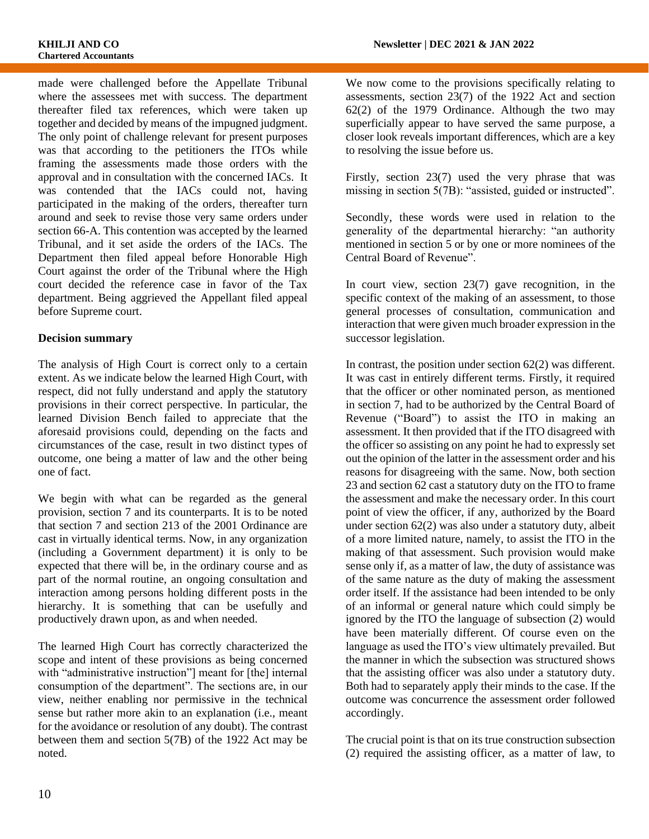made were challenged before the Appellate Tribunal where the assessees met with success. The department thereafter filed tax references, which were taken up together and decided by means of the impugned judgment. The only point of challenge relevant for present purposes was that according to the petitioners the ITOs while framing the assessments made those orders with the approval and in consultation with the concerned IACs. It was contended that the IACs could not, having participated in the making of the orders, thereafter turn around and seek to revise those very same orders under section 66-A. This contention was accepted by the learned Tribunal, and it set aside the orders of the IACs. The Department then filed appeal before Honorable High Court against the order of the Tribunal where the High court decided the reference case in favor of the Tax department. Being aggrieved the Appellant filed appeal before Supreme court.

#### **Decision summary**

The analysis of High Court is correct only to a certain extent. As we indicate below the learned High Court, with respect, did not fully understand and apply the statutory provisions in their correct perspective. In particular, the learned Division Bench failed to appreciate that the aforesaid provisions could, depending on the facts and circumstances of the case, result in two distinct types of outcome, one being a matter of law and the other being one of fact.

We begin with what can be regarded as the general provision, section 7 and its counterparts. It is to be noted that section 7 and section 213 of the 2001 Ordinance are cast in virtually identical terms. Now, in any organization (including a Government department) it is only to be expected that there will be, in the ordinary course and as part of the normal routine, an ongoing consultation and interaction among persons holding different posts in the hierarchy. It is something that can be usefully and productively drawn upon, as and when needed.

The learned High Court has correctly characterized the scope and intent of these provisions as being concerned with "administrative instruction"] meant for [the] internal consumption of the department". The sections are, in our view, neither enabling nor permissive in the technical sense but rather more akin to an explanation (i.e., meant for the avoidance or resolution of any doubt). The contrast between them and section 5(7B) of the 1922 Act may be noted.

We now come to the provisions specifically relating to assessments, section 23(7) of the 1922 Act and section 62(2) of the 1979 Ordinance. Although the two may superficially appear to have served the same purpose, a closer look reveals important differences, which are a key to resolving the issue before us.

Firstly, section 23(7) used the very phrase that was missing in section 5(7B): "assisted, guided or instructed".

Secondly, these words were used in relation to the generality of the departmental hierarchy: "an authority mentioned in section 5 or by one or more nominees of the Central Board of Revenue".

In court view, section 23(7) gave recognition, in the specific context of the making of an assessment, to those general processes of consultation, communication and interaction that were given much broader expression in the successor legislation.

In contrast, the position under section 62(2) was different. It was cast in entirely different terms. Firstly, it required that the officer or other nominated person, as mentioned in section 7, had to be authorized by the Central Board of Revenue ("Board") to assist the ITO in making an assessment. It then provided that if the ITO disagreed with the officer so assisting on any point he had to expressly set out the opinion of the latter in the assessment order and his reasons for disagreeing with the same. Now, both section 23 and section 62 cast a statutory duty on the ITO to frame the assessment and make the necessary order. In this court point of view the officer, if any, authorized by the Board under section 62(2) was also under a statutory duty, albeit of a more limited nature, namely, to assist the ITO in the making of that assessment. Such provision would make sense only if, as a matter of law, the duty of assistance was of the same nature as the duty of making the assessment order itself. If the assistance had been intended to be only of an informal or general nature which could simply be ignored by the ITO the language of subsection (2) would have been materially different. Of course even on the language as used the ITO's view ultimately prevailed. But the manner in which the subsection was structured shows that the assisting officer was also under a statutory duty. Both had to separately apply their minds to the case. If the outcome was concurrence the assessment order followed accordingly.

The crucial point is that on its true construction subsection (2) required the assisting officer, as a matter of law, to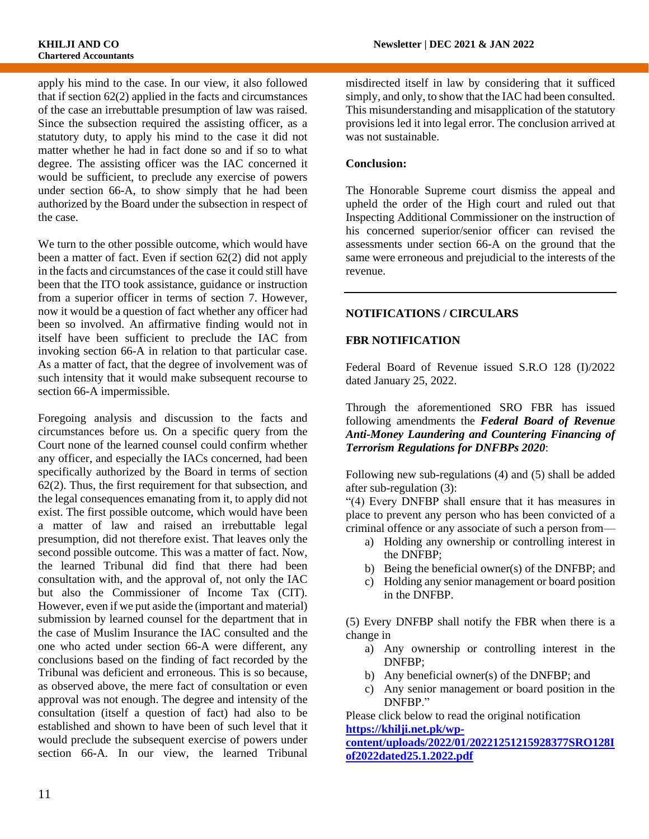apply his mind to the case. In our view, it also followed that if section 62(2) applied in the facts and circumstances of the case an irrebuttable presumption of law was raised. Since the subsection required the assisting officer, as a statutory duty, to apply his mind to the case it did not matter whether he had in fact done so and if so to what degree. The assisting officer was the IAC concerned it would be sufficient, to preclude any exercise of powers under section 66-A, to show simply that he had been authorized by the Board under the subsection in respect of the case.

We turn to the other possible outcome, which would have been a matter of fact. Even if section 62(2) did not apply in the facts and circumstances of the case it could still have been that the ITO took assistance, guidance or instruction from a superior officer in terms of section 7. However, now it would be a question of fact whether any officer had been so involved. An affirmative finding would not in itself have been sufficient to preclude the IAC from invoking section 66-A in relation to that particular case. As a matter of fact, that the degree of involvement was of such intensity that it would make subsequent recourse to section 66-A impermissible.

Foregoing analysis and discussion to the facts and circumstances before us. On a specific query from the Court none of the learned counsel could confirm whether any officer, and especially the IACs concerned, had been specifically authorized by the Board in terms of section 62(2). Thus, the first requirement for that subsection, and the legal consequences emanating from it, to apply did not exist. The first possible outcome, which would have been a matter of law and raised an irrebuttable legal presumption, did not therefore exist. That leaves only the second possible outcome. This was a matter of fact. Now, the learned Tribunal did find that there had been consultation with, and the approval of, not only the IAC but also the Commissioner of Income Tax (CIT). However, even if we put aside the (important and material) submission by learned counsel for the department that in the case of Muslim Insurance the IAC consulted and the one who acted under section 66-A were different, any conclusions based on the finding of fact recorded by the Tribunal was deficient and erroneous. This is so because, as observed above, the mere fact of consultation or even approval was not enough. The degree and intensity of the consultation (itself a question of fact) had also to be established and shown to have been of such level that it would preclude the subsequent exercise of powers under section 66-A. In our view, the learned Tribunal

misdirected itself in law by considering that it sufficed simply, and only, to show that the IAC had been consulted. This misunderstanding and misapplication of the statutory provisions led it into legal error. The conclusion arrived at was not sustainable.

#### **Conclusion:**

The Honorable Supreme court dismiss the appeal and upheld the order of the High court and ruled out that Inspecting Additional Commissioner on the instruction of his concerned superior/senior officer can revised the assessments under section 66-A on the ground that the same were erroneous and prejudicial to the interests of the revenue.

#### **NOTIFICATIONS / CIRCULARS**

#### **FBR NOTIFICATION**

Federal Board of Revenue issued S.R.O 128 (I)/2022 dated January 25, 2022.

Through the aforementioned SRO FBR has issued following amendments the *Federal Board of Revenue Anti-Money Laundering and Countering Financing of Terrorism Regulations for DNFBPs 2020*:

Following new sub-regulations (4) and (5) shall be added after sub-regulation (3):

"(4) Every DNFBP shall ensure that it has measures in place to prevent any person who has been convicted of a criminal offence or any associate of such a person from—

- a) Holding any ownership or controlling interest in the DNFBP;
- b) Being the beneficial owner(s) of the DNFBP; and
- c) Holding any senior management or board position in the DNFBP.

(5) Every DNFBP shall notify the FBR when there is a change in

- a) Any ownership or controlling interest in the DNFBP;
- b) Any beneficial owner(s) of the DNFBP; and
- c) Any senior management or board position in the DNFBP."

Please click below to read the original notification **[https://khilji.net.pk/wp](https://khilji.net.pk/wp-content/uploads/2022/01/20221251215928377SRO128Iof2022dated25.1.2022.pdf)[content/uploads/2022/01/20221251215928377SRO128I](https://khilji.net.pk/wp-content/uploads/2022/01/20221251215928377SRO128Iof2022dated25.1.2022.pdf)**

**[of2022dated25.1.2022.pdf](https://khilji.net.pk/wp-content/uploads/2022/01/20221251215928377SRO128Iof2022dated25.1.2022.pdf)**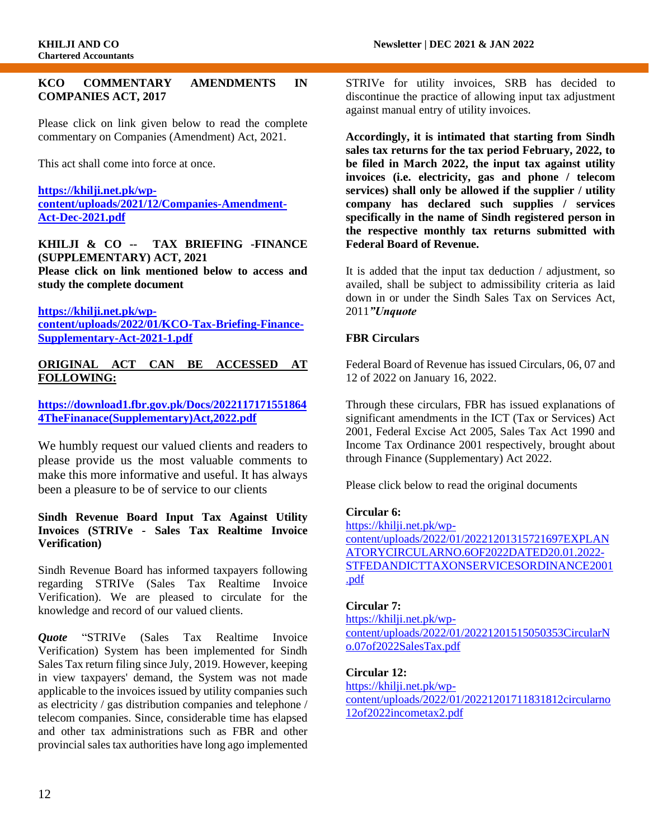#### **KCO COMMENTARY AMENDMENTS IN COMPANIES ACT, 2017**

Please click on link given below to read the complete commentary on Companies (Amendment) Act, 2021.

This act shall come into force at once.

**[https://khilji.net.pk/wp](https://khilji.net.pk/wp-content/uploads/2021/12/Companies-Amendment-Act-Dec-2021.pdf)[content/uploads/2021/12/Companies-Amendment-](https://khilji.net.pk/wp-content/uploads/2021/12/Companies-Amendment-Act-Dec-2021.pdf)[Act-Dec-2021.pdf](https://khilji.net.pk/wp-content/uploads/2021/12/Companies-Amendment-Act-Dec-2021.pdf)**

**KHILJI & CO -- TAX BRIEFING -FINANCE (SUPPLEMENTARY) ACT, 2021 Please click on link mentioned below to access and** 

**study the complete document**

**[https://khilji.net.pk/wp](https://khilji.net.pk/wp-content/uploads/2022/01/KCO-Tax-Briefing-Finance-Supplementary-Act-2021-1.pdf)[content/uploads/2022/01/KCO-Tax-Briefing-Finance-](https://khilji.net.pk/wp-content/uploads/2022/01/KCO-Tax-Briefing-Finance-Supplementary-Act-2021-1.pdf)[Supplementary-Act-2021-1.pdf](https://khilji.net.pk/wp-content/uploads/2022/01/KCO-Tax-Briefing-Finance-Supplementary-Act-2021-1.pdf)**

#### **ORIGINAL ACT CAN BE ACCESSED AT FOLLOWING:**

**[https://download1.fbr.gov.pk/Docs/2022117171551864](https://download1.fbr.gov.pk/Docs/20221171715518644TheFinanace(Supplementary)Act,2022.pdf) [4TheFinanace\(Supplementary\)Act,2022.pdf](https://download1.fbr.gov.pk/Docs/20221171715518644TheFinanace(Supplementary)Act,2022.pdf)**

We humbly request our valued clients and readers to please provide us the most valuable comments to make this more informative and useful. It has always been a pleasure to be of service to our clients

#### **Sindh Revenue Board Input Tax Against Utility Invoices (STRIVe - Sales Tax Realtime Invoice Verification)**

Sindh Revenue Board has informed taxpayers following regarding STRIVe (Sales Tax Realtime Invoice Verification). We are pleased to circulate for the knowledge and record of our valued clients.

*Quote* "STRIVe (Sales Tax Realtime Invoice Verification) System has been implemented for Sindh Sales Tax return filing since July, 2019. However, keeping in view taxpayers' demand, the System was not made applicable to the invoices issued by utility companies such as electricity / gas distribution companies and telephone / telecom companies. Since, considerable time has elapsed and other tax administrations such as FBR and other provincial sales tax authorities have long ago implemented STRIVe for utility invoices, SRB has decided to discontinue the practice of allowing input tax adjustment against manual entry of utility invoices.

**Accordingly, it is intimated that starting from Sindh sales tax returns for the tax period February, 2022, to be filed in March 2022, the input tax against utility invoices (i.e. electricity, gas and phone / telecom services) shall only be allowed if the supplier / utility company has declared such supplies / services specifically in the name of Sindh registered person in the respective monthly tax returns submitted with Federal Board of Revenue.**

It is added that the input tax deduction / adjustment, so availed, shall be subject to admissibility criteria as laid down in or under the Sindh Sales Tax on Services Act, 2011*"Unquote*

#### **FBR Circulars**

Federal Board of Revenue has issued Circulars, 06, 07 and 12 of 2022 on January 16, 2022.

Through these circulars, FBR has issued explanations of significant amendments in the ICT (Tax or Services) Act 2001, Federal Excise Act 2005, Sales Tax Act 1990 and Income Tax Ordinance 2001 respectively, brought about through Finance (Supplementary) Act 2022.

Please click below to read the original documents

#### **Circular 6:**

[https://khilji.net.pk/wp](https://khilji.net.pk/wp-content/uploads/2022/01/20221201315721697EXPLANATORYCIRCULARNO.6OF2022DATED20.01.2022-STFEDANDICTTAXONSERVICESORDINANCE2001.pdf)[content/uploads/2022/01/20221201315721697EXPLAN](https://khilji.net.pk/wp-content/uploads/2022/01/20221201315721697EXPLANATORYCIRCULARNO.6OF2022DATED20.01.2022-STFEDANDICTTAXONSERVICESORDINANCE2001.pdf) [ATORYCIRCULARNO.6OF2022DATED20.01.2022-](https://khilji.net.pk/wp-content/uploads/2022/01/20221201315721697EXPLANATORYCIRCULARNO.6OF2022DATED20.01.2022-STFEDANDICTTAXONSERVICESORDINANCE2001.pdf) [STFEDANDICTTAXONSERVICESORDINANCE2001](https://khilji.net.pk/wp-content/uploads/2022/01/20221201315721697EXPLANATORYCIRCULARNO.6OF2022DATED20.01.2022-STFEDANDICTTAXONSERVICESORDINANCE2001.pdf) [.pdf](https://khilji.net.pk/wp-content/uploads/2022/01/20221201315721697EXPLANATORYCIRCULARNO.6OF2022DATED20.01.2022-STFEDANDICTTAXONSERVICESORDINANCE2001.pdf)

#### **Circular 7:**

[https://khilji.net.pk/wp](https://khilji.net.pk/wp-content/uploads/2022/01/20221201515050353CircularNo.07of2022SalesTax.pdf)[content/uploads/2022/01/20221201515050353CircularN](https://khilji.net.pk/wp-content/uploads/2022/01/20221201515050353CircularNo.07of2022SalesTax.pdf) [o.07of2022SalesTax.pdf](https://khilji.net.pk/wp-content/uploads/2022/01/20221201515050353CircularNo.07of2022SalesTax.pdf)

#### **Circular 12:**

[https://khilji.net.pk/wp](https://khilji.net.pk/wp-content/uploads/2022/01/20221201711831812circularno12of2022incometax2.pdf)[content/uploads/2022/01/20221201711831812circularno](https://khilji.net.pk/wp-content/uploads/2022/01/20221201711831812circularno12of2022incometax2.pdf) [12of2022incometax2.pdf](https://khilji.net.pk/wp-content/uploads/2022/01/20221201711831812circularno12of2022incometax2.pdf)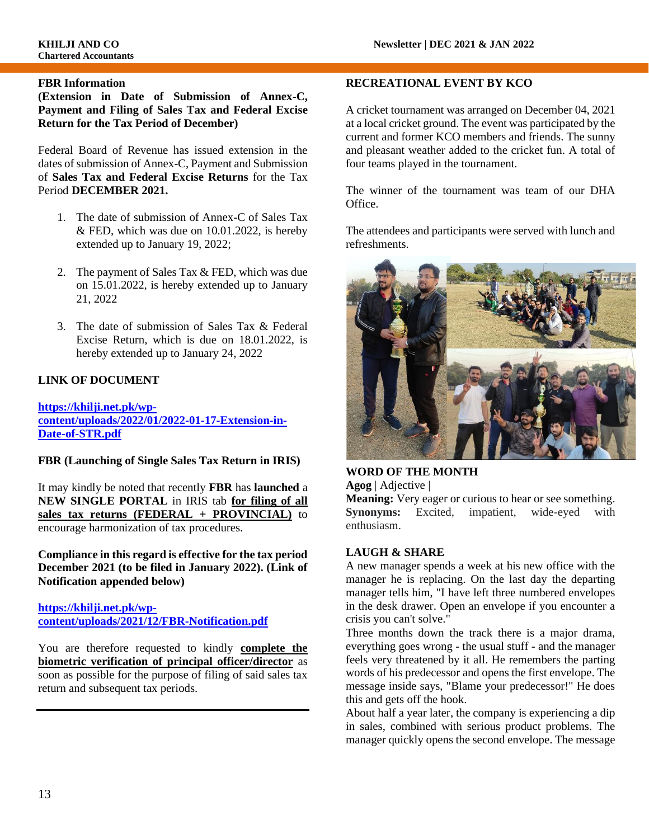#### **FBR Information**

**(Extension in Date of Submission of Annex-C, Payment and Filing of Sales Tax and Federal Excise Return for the Tax Period of December)**

Federal Board of Revenue has issued extension in the dates of submission of Annex-C, Payment and Submission of **Sales Tax and Federal Excise Returns** for the Tax Period **DECEMBER 2021.** 

- 1. The date of submission of Annex-C of Sales Tax  $&$  FED, which was due on 10.01.2022, is hereby extended up to January 19, 2022;
- 2. The payment of Sales Tax & FED, which was due on 15.01.2022, is hereby extended up to January 21, 2022
- 3. The date of submission of Sales Tax & Federal Excise Return, which is due on 18.01.2022, is hereby extended up to January 24, 2022

#### **LINK OF DOCUMENT**

**[https://khilji.net.pk/wp](https://khilji.net.pk/wp-content/uploads/2022/01/2022-01-17-Extension-in-Date-of-STR.pdf)[content/uploads/2022/01/2022-01-17-Extension-in-](https://khilji.net.pk/wp-content/uploads/2022/01/2022-01-17-Extension-in-Date-of-STR.pdf)[Date-of-STR.pdf](https://khilji.net.pk/wp-content/uploads/2022/01/2022-01-17-Extension-in-Date-of-STR.pdf)**

#### **FBR (Launching of Single Sales Tax Return in IRIS)**

It may kindly be noted that recently **FBR** has **launched** a **NEW SINGLE PORTAL** in IRIS tab **for filing of all sales tax returns (FEDERAL + PROVINCIAL)** to encourage harmonization of tax procedures.

**Compliance in this regard is effective for the tax period December 2021 (to be filed in January 2022). (Link of Notification appended below)**

#### **[https://khilji.net.pk/wp](https://khilji.net.pk/wp-content/uploads/2021/12/FBR-Notification.pdf)[content/uploads/2021/12/FBR-Notification.pdf](https://khilji.net.pk/wp-content/uploads/2021/12/FBR-Notification.pdf)**

You are therefore requested to kindly **complete the biometric verification of principal officer/director** as soon as possible for the purpose of filing of said sales tax return and subsequent tax periods.

#### **RECREATIONAL EVENT BY KCO**

A cricket tournament was arranged on December 04, 2021 at a local cricket ground. The event was participated by the current and former KCO members and friends. The sunny and pleasant weather added to the cricket fun. A total of four teams played in the tournament.

The winner of the tournament was team of our DHA Office.

The attendees and participants were served with lunch and refreshments.



# **WORD OF THE MONTH**

**Agog** | Adjective |

**Meaning:** Very eager or curious to hear or see something. **Synonyms:** Excited, impatient, wide-eyed with enthusiasm.

#### **LAUGH & SHARE**

A new manager spends a week at his new office with the manager he is replacing. On the last day the departing manager tells him, "I have left three numbered envelopes in the desk drawer. Open an envelope if you encounter a crisis you can't solve."

Three months down the track there is a major drama, everything goes wrong - the usual stuff - and the manager feels very threatened by it all. He remembers the parting words of his predecessor and opens the first envelope. The message inside says, "Blame your predecessor!" He does this and gets off the hook.

About half a year later, the company is experiencing a dip in sales, combined with serious product problems. The manager quickly opens the second envelope. The message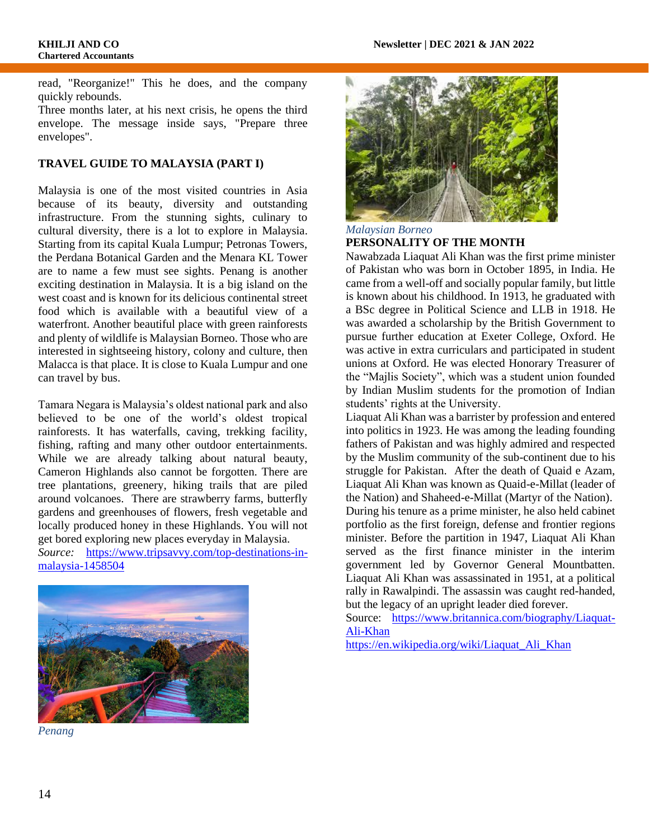read, "Reorganize!" This he does, and the company quickly rebounds.

Three months later, at his next crisis, he opens the third envelope. The message inside says, "Prepare three envelopes".

#### **TRAVEL GUIDE TO MALAYSIA (PART I)**

Malaysia is one of the most visited countries in Asia because of its beauty, diversity and outstanding infrastructure. From the stunning sights, culinary to cultural diversity, there is a lot to explore in Malaysia. Starting from its capital Kuala Lumpur; Petronas Towers, the Perdana Botanical Garden and the Menara KL Tower are to name a few must see sights. Penang is another exciting destination in Malaysia. It is a big island on the west coast and is known for its delicious continental street food which is available with a beautiful view of a waterfront. Another beautiful place with green rainforests and plenty of wildlife is Malaysian Borneo. Those who are interested in sightseeing history, colony and culture, then Malacca is that place. It is close to Kuala Lumpur and one can travel by bus.

Tamara Negara is Malaysia's oldest national park and also believed to be one of the world's oldest tropical rainforests. It has waterfalls, caving, trekking facility, fishing, rafting and many other outdoor entertainments. While we are already talking about natural beauty, Cameron Highlands also cannot be forgotten. There are tree plantations, greenery, hiking trails that are piled around volcanoes. There are strawberry farms, butterfly gardens and greenhouses of flowers, fresh vegetable and locally produced honey in these Highlands. You will not get bored exploring new places everyday in Malaysia.

*Source:* [https://www.tripsavvy.com/top-destinations-in](https://www.tripsavvy.com/top-destinations-in-malaysia-1458504)[malaysia-1458504](https://www.tripsavvy.com/top-destinations-in-malaysia-1458504)



*Penang*



#### *Malaysian Borneo* **PERSONALITY OF THE MONTH**

Nawabzada Liaquat Ali Khan was the first prime minister of Pakistan who was born in October 1895, in India. He came from a well-off and socially popular family, but little is known about his childhood. In 1913, he graduated with a BSc degree in Political Science and LLB in 1918. He was awarded a scholarship by the British Government to pursue further education at Exeter College, Oxford. He was active in extra curriculars and participated in student unions at Oxford. He was elected Honorary Treasurer of the "Majlis Society", which was a student union founded by Indian Muslim students for the promotion of Indian students' rights at the University.

Liaquat Ali Khan was a barrister by profession and entered into politics in 1923. He was among the leading founding fathers of Pakistan and was highly admired and respected by the Muslim community of the sub-continent due to his struggle for Pakistan. After the death of Quaid e Azam, Liaquat Ali Khan was known as Quaid-e-Millat (leader of the Nation) and Shaheed-e-Millat (Martyr of the Nation). During his tenure as a prime minister, he also held cabinet portfolio as the first foreign, defense and frontier regions minister. Before the partition in 1947, Liaquat Ali Khan served as the first finance minister in the interim government led by Governor General Mountbatten. Liaquat Ali Khan was assassinated in 1951, at a political rally in Rawalpindi. The assassin was caught red-handed, but the legacy of an upright leader died forever.

Source: [https://www.britannica.com/biography/Liaquat-](https://www.britannica.com/biography/Liaquat-Ali-Khan)[Ali-Khan](https://www.britannica.com/biography/Liaquat-Ali-Khan)

[https://en.wikipedia.org/wiki/Liaquat\\_Ali\\_Khan](https://en.wikipedia.org/wiki/Liaquat_Ali_Khan)